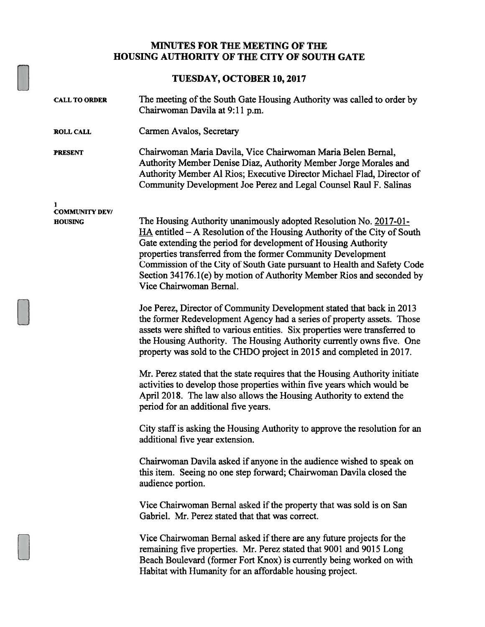## MINUTES FOR THE MEETING OF THE HOUSING AUTHORITY OF THE CITY OF SOUTH GATE

## TUESDAY, OCTOBER 10, 2017

| <b>CALL TO ORDER</b>       | The meeting of the South Gate Housing Authority was called to order by<br>Chairwoman Davila at 9:11 p.m.                                                                                                                                                                                                                                                                                                                                                          |  |
|----------------------------|-------------------------------------------------------------------------------------------------------------------------------------------------------------------------------------------------------------------------------------------------------------------------------------------------------------------------------------------------------------------------------------------------------------------------------------------------------------------|--|
| <b>ROLL CALL</b>           | Carmen Avalos, Secretary                                                                                                                                                                                                                                                                                                                                                                                                                                          |  |
| <b>PRESENT</b>             | Chairwoman Maria Davila, Vice Chairwoman Maria Belen Bernal,<br>Authority Member Denise Diaz, Authority Member Jorge Morales and<br>Authority Member Al Rios; Executive Director Michael Flad, Director of<br>Community Development Joe Perez and Legal Counsel Raul F. Salinas                                                                                                                                                                                   |  |
| 1<br><b>COMMUNITY DEV/</b> |                                                                                                                                                                                                                                                                                                                                                                                                                                                                   |  |
| <b>HOUSING</b>             | The Housing Authority unanimously adopted Resolution No. 2017-01-<br>$HA$ entitled $-A$ Resolution of the Housing Authority of the City of South<br>Gate extending the period for development of Housing Authority<br>properties transferred from the former Community Development<br>Commission of the City of South Gate pursuant to Health and Safety Code<br>Section 34176.1(e) by motion of Authority Member Rios and seconded by<br>Vice Chairwoman Bernal. |  |
|                            | Joe Perez, Director of Community Development stated that back in 2013<br>the former Redevelopment Agency had a series of property assets. Those<br>assets were shifted to various entities. Six properties were transferred to<br>the Housing Authority. The Housing Authority currently owns five. One<br>property was sold to the CHDO project in 2015 and completed in 2017.                                                                                   |  |
|                            | Mr. Perez stated that the state requires that the Housing Authority initiate<br>activities to develop those properties within five years which would be<br>April 2018. The law also allows the Housing Authority to extend the<br>period for an additional five years.                                                                                                                                                                                            |  |
|                            | City staff is asking the Housing Authority to approve the resolution for an<br>additional five year extension.                                                                                                                                                                                                                                                                                                                                                    |  |
|                            | Chairwoman Davila asked if anyone in the audience wished to speak on<br>this item. Seeing no one step forward; Chairwoman Davila closed the<br>audience portion.                                                                                                                                                                                                                                                                                                  |  |
|                            | Vice Chairwoman Bernal asked if the property that was sold is on San<br>Gabriel. Mr. Perez stated that that was correct.                                                                                                                                                                                                                                                                                                                                          |  |
|                            | Vice Chairwoman Bernal asked if there are any future projects for the<br>remaining five properties. Mr. Perez stated that 9001 and 9015 Long<br>Beach Boulevard (former Fort Knox) is currently being worked on with<br>Habitat with Humanity for an affordable housing project.                                                                                                                                                                                  |  |
|                            |                                                                                                                                                                                                                                                                                                                                                                                                                                                                   |  |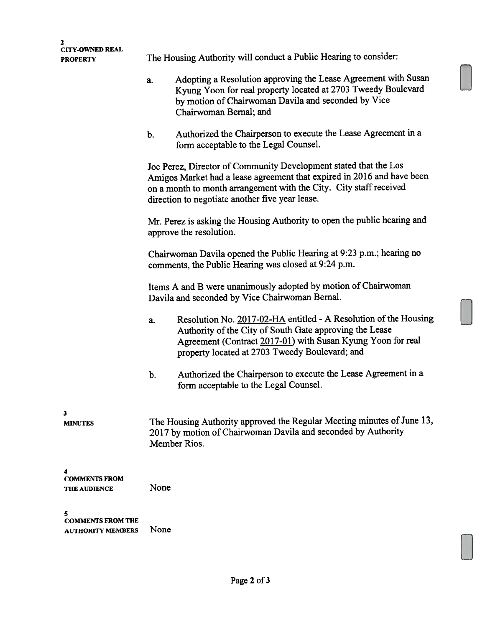| 2<br><b>CITY-OWNED REAL</b><br><b>PROPERTY</b>       | The Housing Authority will conduct a Public Hearing to consider:                                                                                        |                                                                                                                                                                                                                                                                     |  |  |
|------------------------------------------------------|---------------------------------------------------------------------------------------------------------------------------------------------------------|---------------------------------------------------------------------------------------------------------------------------------------------------------------------------------------------------------------------------------------------------------------------|--|--|
|                                                      | a.                                                                                                                                                      | Adopting a Resolution approving the Lease Agreement with Susan<br>Kyung Yoon for real property located at 2703 Tweedy Boulevard<br>by motion of Chairwoman Davila and seconded by Vice<br>Chairwoman Bernal; and                                                    |  |  |
|                                                      | b.                                                                                                                                                      | Authorized the Chairperson to execute the Lease Agreement in a<br>form acceptable to the Legal Counsel.                                                                                                                                                             |  |  |
|                                                      |                                                                                                                                                         | Joe Perez, Director of Community Development stated that the Los<br>Amigos Market had a lease agreement that expired in 2016 and have been<br>on a month to month arrangement with the City. City staff received<br>direction to negotiate another five year lease. |  |  |
|                                                      | Mr. Perez is asking the Housing Authority to open the public hearing and<br>approve the resolution.                                                     |                                                                                                                                                                                                                                                                     |  |  |
|                                                      | Chairwoman Davila opened the Public Hearing at 9:23 p.m.; hearing no<br>comments, the Public Hearing was closed at 9:24 p.m.                            |                                                                                                                                                                                                                                                                     |  |  |
|                                                      | Items A and B were unanimously adopted by motion of Chairwoman<br>Davila and seconded by Vice Chairwoman Bernal.                                        |                                                                                                                                                                                                                                                                     |  |  |
|                                                      | a.                                                                                                                                                      | Resolution No. 2017-02-HA entitled - A Resolution of the Housing<br>Authority of the City of South Gate approving the Lease<br>Agreement (Contract 2017-01) with Susan Kyung Yoon for real<br>property located at 2703 Tweedy Boulevard; and                        |  |  |
|                                                      | b.                                                                                                                                                      | Authorized the Chairperson to execute the Lease Agreement in a<br>form acceptable to the Legal Counsel.                                                                                                                                                             |  |  |
| 3<br><b>MINUTES</b>                                  | The Housing Authority approved the Regular Meeting minutes of June 13,<br>2017 by motion of Chairwoman Davila and seconded by Authority<br>Member Rios. |                                                                                                                                                                                                                                                                     |  |  |
| <b>COMMENTS FROM</b><br><b>THE AUDIENCE</b>          | None                                                                                                                                                    |                                                                                                                                                                                                                                                                     |  |  |
| <b>COMMENTS FROM THE</b><br><b>AUTHORITY MEMBERS</b> |                                                                                                                                                         |                                                                                                                                                                                                                                                                     |  |  |

 $\overline{\phantom{a}}$